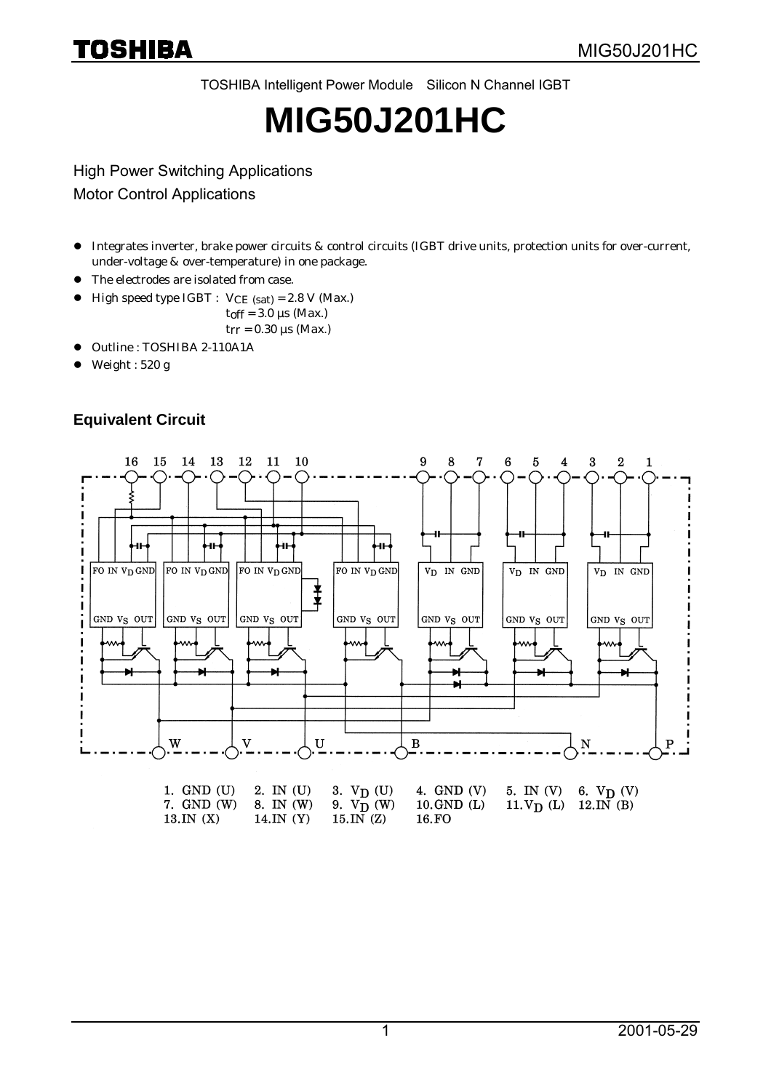TOSHIBA Intelligent Power Module Silicon N Channel IGBT

# **MIG50J201HC**

High Power Switching Applications

Motor Control Applications

- z Integrates inverter, brake power circuits & control circuits (IGBT drive units, protection units for over-current, under-voltage & over-temperature) in one package.
- The electrodes are isolated from case.
- $\bullet$  High speed type IGBT :  $VCE$  (sat) = 2.8 V (Max.)
	- $t$ off = 3.0 µs (Max.)
	- $t_{rr}$  = 0.30 µs (Max.)
- $\bullet$  Outline : TOSHIBA 2-110A1A
- $\bullet$  Weight : 520 g

## **Equivalent Circuit**

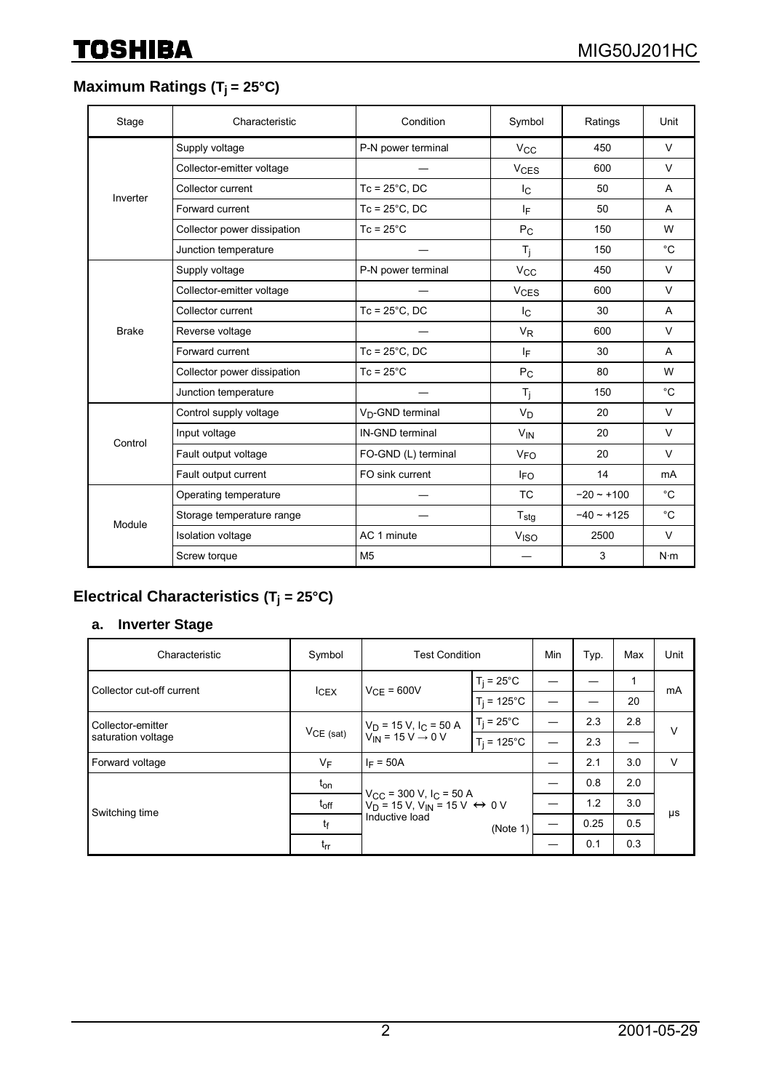## **Maximum Ratings (T<sub>j</sub> = 25°C)**

| Stage        | Characteristic              | Condition                    | Symbol                 | Ratings     | Unit           |
|--------------|-----------------------------|------------------------------|------------------------|-------------|----------------|
|              | Supply voltage              | P-N power terminal           | $V_{\rm CC}$           | 450         | $\vee$         |
|              | Collector-emitter voltage   |                              | <b>V<sub>CES</sub></b> | 600         | V              |
| Inverter     | Collector current           | $Tc = 25^{\circ}C$ , DC      | Ιc                     | 50          | A              |
|              | Forward current             | $Tc = 25^{\circ}C$ , DC      | ΙF                     | 50          | A              |
|              | Collector power dissipation | $Tc = 25^{\circ}C$           | $P_{C}$                | 150         | W              |
|              | Junction temperature        |                              | T <sub>i</sub>         | 150         | $^{\circ}C$    |
|              | Supply voltage              | P-N power terminal           | <b>V<sub>CC</sub></b>  | 450         | $\vee$         |
|              | Collector-emitter voltage   |                              | <b>V<sub>CES</sub></b> | 600         | $\vee$         |
|              | Collector current           | $Tc = 25^{\circ}C$ , DC      | Ic.                    | 30          | A              |
| <b>Brake</b> | Reverse voltage             |                              | $V_{R}$                | 600         | $\vee$         |
|              | Forward current             | $Tc = 25^{\circ}C$ , DC      | lF.                    | 30          | A              |
|              | Collector power dissipation | $Tc = 25^{\circ}C$           | $P_{C}$                | 80          | W              |
|              | Junction temperature        |                              | T <sub>i</sub>         | 150         | $^{\circ}C$    |
|              | Control supply voltage      | V <sub>D</sub> -GND terminal | $V_D$                  | 20          | $\vee$         |
| Control      | Input voltage               | IN-GND terminal              | <b>V<sub>IN</sub></b>  | 20          | $\vee$         |
|              | Fault output voltage        | FO-GND (L) terminal          | <b>V<sub>FO</sub></b>  | 20          | $\vee$         |
|              | Fault output current        | FO sink current              | <b>IFO</b>             | 14          | m <sub>A</sub> |
|              | Operating temperature       |                              | <b>TC</b>              | $-20 - 100$ | $^{\circ}C$    |
|              | Storage temperature range   |                              | $T_{\text{stg}}$       | $-40 - 125$ | $^{\circ}C$    |
| Module       | <b>Isolation voltage</b>    | AC 1 minute                  | V <sub>ISO</sub>       | 2500        | $\vee$         |
|              | Screw torque                | M <sub>5</sub>               |                        | 3           | $N \cdot m$    |

# **Electrical Characteristics (Tj = 25°C)**

## **a. Inverter Stage**

| Characteristic                          | Symbol           | <b>Test Condition</b>                                                                                                               |                      | Min | Typ. | Max | Unit |
|-----------------------------------------|------------------|-------------------------------------------------------------------------------------------------------------------------------------|----------------------|-----|------|-----|------|
| Collector cut-off current               | I <sub>CEX</sub> | $V_{CF} = 600V$                                                                                                                     | $T_i = 25^{\circ}$ C |     |      | 1   | mA   |
|                                         |                  |                                                                                                                                     | $T_i = 125^{\circ}C$ |     |      | 20  |      |
| Collector-emitter<br>saturation voltage | $V_{CE (sat)}$   | $V_D = 15 V, I_C = 50 A$<br>$V_{IN} = 15 V \rightarrow 0 V$                                                                         | $T_i = 25^{\circ}$ C |     | 2.3  | 2.8 | v    |
|                                         |                  |                                                                                                                                     | $T_i = 125^{\circ}C$ |     | 2.3  |     |      |
| Forward voltage                         | $V_F$            | $I_F = 50A$                                                                                                                         |                      |     | 2.1  | 3.0 | V    |
|                                         | $t_{on}$         | $V_{CC}$ = 300 V, I <sub>C</sub> = 50 A<br>$V_D$ = 15 V, V <sub>IN</sub> = 15 V $\leftrightarrow$ 0 V<br>Inductive load<br>(Note 1) |                      |     | 0.8  | 2.0 | μs   |
| Switching time                          | $t_{off}$        |                                                                                                                                     |                      |     | 1.2  | 3.0 |      |
|                                         | tf               |                                                                                                                                     |                      |     | 0.25 | 0.5 |      |
|                                         | $t_{rr}$         |                                                                                                                                     |                      |     | 0.1  | 0.3 |      |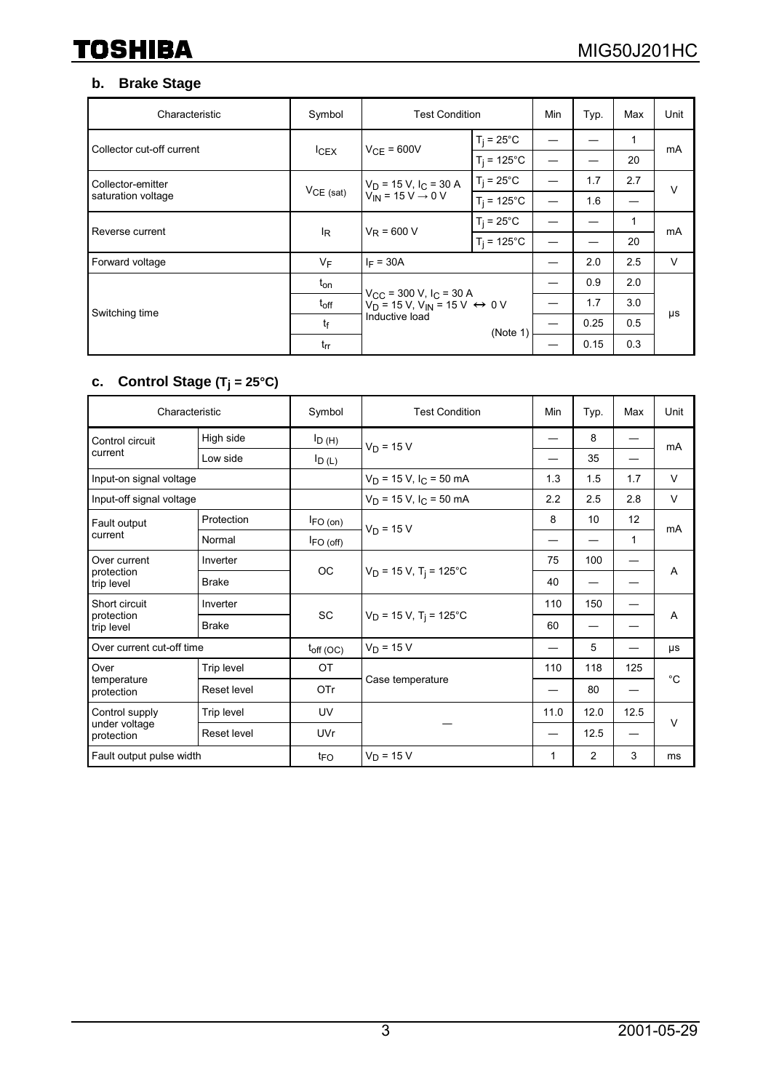## **b. Brake Stage**

| Characteristic            | Symbol           | <b>Test Condition</b>                                                                                        |                       | Min  | Typ. | Max | Unit |
|---------------------------|------------------|--------------------------------------------------------------------------------------------------------------|-----------------------|------|------|-----|------|
| Collector cut-off current | I <sub>CEX</sub> | $V_{CF} = 600V$                                                                                              | $T_i = 25^{\circ}C$   |      |      | 1   | mA   |
|                           |                  |                                                                                                              | $T_i = 125^{\circ}$ C |      |      | 20  |      |
| Collector-emitter         | $V_{CE (sat)}$   | $V_D$ = 15 V, $I_C$ = 30 A<br>$V_{IN} = 15 V - 0 V$                                                          | $T_i = 25^{\circ}C$   |      | 1.7  | 2.7 | v    |
| saturation voltage        |                  |                                                                                                              | $T_i = 125$ °C        |      | 1.6  | —   |      |
| Reverse current           | l <sub>R</sub>   | $V_R = 600 V$                                                                                                | $T_i = 25^{\circ}$ C  |      |      | 1   | mA   |
|                           |                  |                                                                                                              | $T_i = 125$ °C        |      |      | 20  |      |
| Forward voltage           | $V_F$            | $I_F = 30A$                                                                                                  |                       | —    | 2.0  | 2.5 | V    |
|                           | $t_{on}$         | $V_{\text{CC}}$ = 300 V, I <sub>C</sub> = 30 A<br>$V_D$ = 15 V, V <sub>IN</sub> = 15 V $\leftrightarrow$ 0 V |                       |      | 0.9  | 2.0 |      |
| Switching time            | $t_{\rm off}$    |                                                                                                              |                       |      | 1.7  | 3.0 |      |
|                           | tf<br>$t_{rr}$   | Inductive load                                                                                               | (Note 1)              |      | 0.25 | 0.5 | μs   |
|                           |                  |                                                                                                              |                       | 0.15 | 0.3  |     |      |

#### **c. Control Stage (Tj = 25°C)**

| Characteristic                                |                    | Symbol          | <b>Test Condition</b>                | Min  | Typ.           | Max  | Unit        |
|-----------------------------------------------|--------------------|-----------------|--------------------------------------|------|----------------|------|-------------|
| Control circuit<br>current                    | High side          | $I_{D(H)}$      | $V_D = 15 V$                         |      | 8              |      | mA          |
|                                               | Low side           | $I_{D(L)}$      |                                      |      | 35             |      |             |
| Input-on signal voltage                       |                    |                 | $V_D$ = 15 V, $I_C$ = 50 mA          | 1.3  | 1.5            | 1.7  | V           |
| Input-off signal voltage                      |                    |                 | $V_D$ = 15 V, I <sub>C</sub> = 50 mA | 2.2  | 2.5            | 2.8  | $\vee$      |
| Fault output<br>current                       | Protection         | $I_{FO(on)}$    | $V_D = 15 V$                         | 8    | 10             | 12   | mA          |
|                                               | Normal             | $I_{FO (off)}$  |                                      |      |                | 1    |             |
| Over current<br>protection<br>trip level      | Inverter           | <b>OC</b>       | $V_D$ = 15 V, T <sub>i</sub> = 125°C | 75   | 100            |      | A           |
|                                               | <b>Brake</b>       |                 |                                      | 40   |                |      |             |
| Short circuit<br>protection<br>trip level     | Inverter           |                 | $V_D$ = 15 V, T <sub>i</sub> = 125°C | 110  | 150            |      | A           |
|                                               | <b>Brake</b>       | <b>SC</b>       |                                      | 60   |                |      |             |
| Over current cut-off time                     |                    | $t_{off(OC)}$   | $V_D = 15 V$                         | —    | 5              |      | μs          |
| Over                                          | Trip level         | <b>OT</b>       |                                      | 110  | 118            | 125  | $^{\circ}C$ |
| temperature<br>protection                     | <b>Reset level</b> | OTr             | Case temperature                     |      | 80             |      |             |
| Control supply<br>under voltage<br>protection | Trip level         | UV              |                                      | 11.0 | 12.0           | 12.5 |             |
|                                               | Reset level        | <b>UVr</b>      |                                      |      | 12.5           |      | $\vee$      |
| Fault output pulse width                      |                    | t <sub>FO</sub> | $V_D = 15 V$                         | 1    | $\overline{2}$ | 3    | ms          |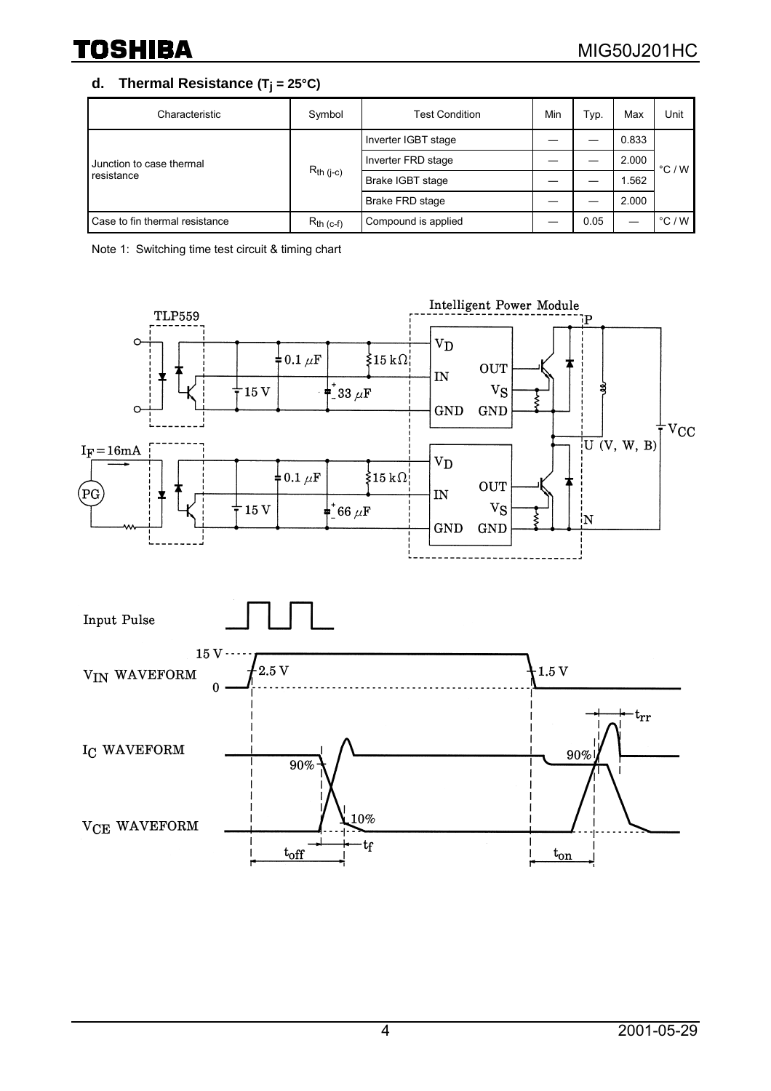#### d. Thermal Resistance  $(T_j = 25^{\circ}C)$

| Characteristic                         | Symbol         | <b>Test Condition</b>  | Min | Typ. | Max   | Unit            |
|----------------------------------------|----------------|------------------------|-----|------|-------|-----------------|
| Junction to case thermal<br>resistance | $R_{th (j-c)}$ | Inverter IGBT stage    |     |      | 0.833 | °C/W            |
|                                        |                | Inverter FRD stage     |     |      | 2.000 |                 |
|                                        |                | Brake IGBT stage       |     |      | 1.562 |                 |
|                                        |                | <b>Brake FRD stage</b> |     |      | 2.000 |                 |
| Case to fin thermal resistance         | $R_{th}$ (c-f) | Compound is applied    |     | 0.05 |       | $\degree$ C / W |

Note 1: Switching time test circuit & timing chart

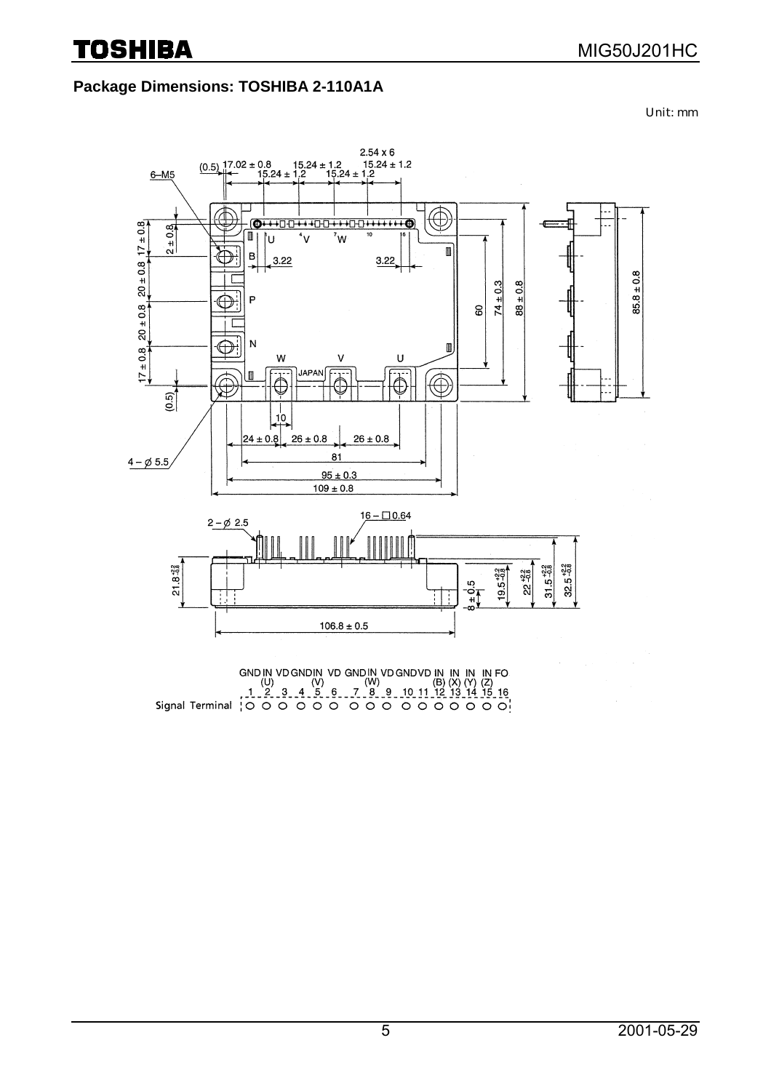### **Package Dimensions: TOSHIBA 2-110A1A**

Unit: mm



GND IN VD GND IN VD GND IN IN IN IN FO<br>
(U) (V) (W) (W) (B) (X) (Y) (Z)<br>
1.2.3.4.5.6.7.8.9.10.11.12.13.14.15.16,